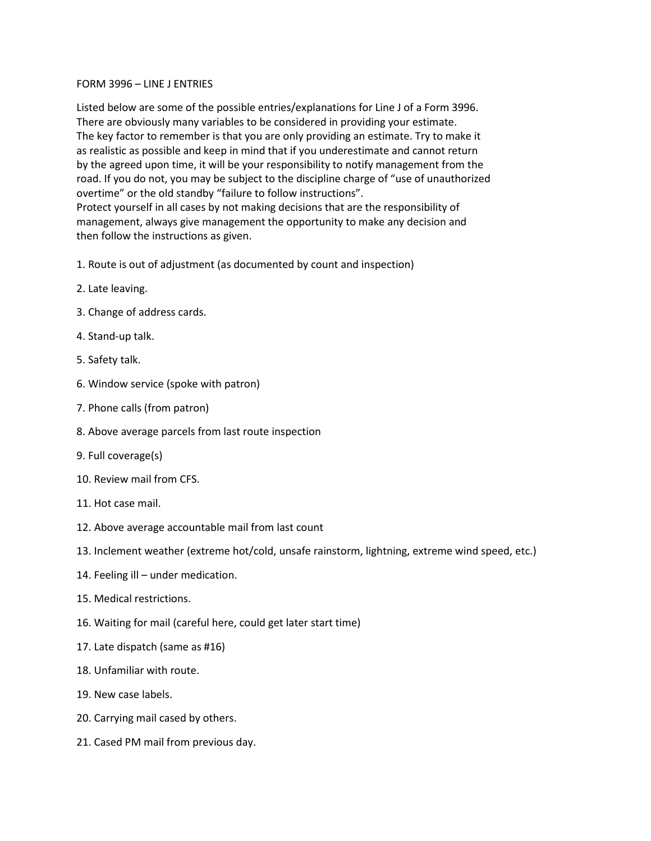## FORM 3996 – LINE J ENTRIES

Listed below are some of the possible entries/explanations for Line J of a Form 3996. There are obviously many variables to be considered in providing your estimate. The key factor to remember is that you are only providing an estimate. Try to make it as realistic as possible and keep in mind that if you underestimate and cannot return by the agreed upon time, it will be your responsibility to notify management from the road. If you do not, you may be subject to the discipline charge of "use of unauthorized overtime" or the old standby "failure to follow instructions". Protect yourself in all cases by not making decisions that are the responsibility of management, always give management the opportunity to make any decision and then follow the instructions as given.

- 1. Route is out of adjustment (as documented by count and inspection)
- 2. Late leaving.
- 3. Change of address cards.
- 4. Stand-up talk.
- 5. Safety talk.
- 6. Window service (spoke with patron)
- 7. Phone calls (from patron)
- 8. Above average parcels from last route inspection
- 9. Full coverage(s)
- 10. Review mail from CFS.
- 11. Hot case mail.
- 12. Above average accountable mail from last count
- 13. Inclement weather (extreme hot/cold, unsafe rainstorm, lightning, extreme wind speed, etc.)
- 14. Feeling ill under medication.
- 15. Medical restrictions.
- 16. Waiting for mail (careful here, could get later start time)
- 17. Late dispatch (same as #16)
- 18. Unfamiliar with route.
- 19. New case labels.
- 20. Carrying mail cased by others.
- 21. Cased PM mail from previous day.